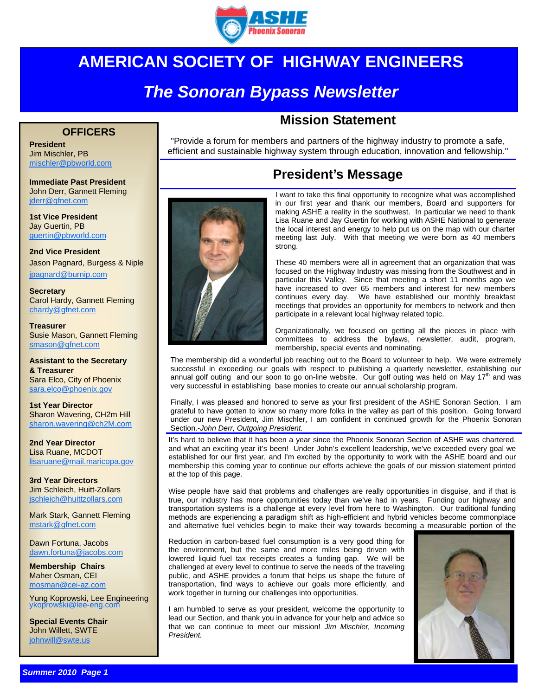

## **AMERICAN SOCIETY OF HIGHWAY ENGINEERS**

## *The Sonoran Bypass Newsletter*

#### **OFFICERS**

**President**  Jim Mischler, PB mischler@pbworld.com

**Immediate Past President**  John Derr, Gannett Fleming jderr@gfnet.com

**1st Vice President**  Jay Guertin, PB guertin@pbworld.com

**2nd Vice President**  Jason Pagnard, Burgess & Niple jpagnard@burnip.com

**Secretary**  Carol Hardy, Gannett Fleming chardy@gfnet.com

**Treasurer**  Susie Mason, Gannett Fleming smason@gfnet.com

**Assistant to the Secretary & Treasurer**  Sara Elco, City of Phoenix sara.elco@phoenix.gov

**1st Year Director**  Sharon Wavering, CH2m Hill sharon.wavering@ch2M.com

**2nd Year Director**  Lisa Ruane, MCDOT lisaruane@mail.maricopa.gov

**3rd Year Directors**  Jim Schleich, Huitt-Zollars jschleich@huittzollars.com

Mark Stark, Gannett Fleming mstark@gfnet.com

Dawn Fortuna, Jacobs dawn.fortuna@jacobs.com

**Membership Chairs**  Maher Osman, CEI mosman@cei-az.com

Yung Koprowski, Lee Engineering ykoprowski@lee-eng.com

**Special Events Chair**  John Willett, SWTE iohnwill@swte.us

# **Mission Statement**

"Provide a forum for members and partners of the highway industry to promote a safe, efficient and sustainable highway system through education, innovation and fellowship."

### **President's Message**



I want to take this final opportunity to recognize what was accomplished in our first year and thank our members, Board and supporters for making ASHE a reality in the southwest. In particular we need to thank Lisa Ruane and Jay Guertin for working with ASHE National to generate the local interest and energy to help put us on the map with our charter meeting last July. With that meeting we were born as 40 members strong.

These 40 members were all in agreement that an organization that was focused on the Highway Industry was missing from the Southwest and in particular this Valley. Since that meeting a short 11 months ago we have increased to over 65 members and interest for new members continues every day. We have established our monthly breakfast meetings that provides an opportunity for members to network and then participate in a relevant local highway related topic.

Organizationally, we focused on getting all the pieces in place with committees to address the bylaws, newsletter, audit, program, membership, special events and nominating.

The membership did a wonderful job reaching out to the Board to volunteer to help. We were extremely successful in exceeding our goals with respect to publishing a quarterly newsletter, establishing our annual golf outing and our soon to go on-line website. Our golf outing was held on May  $17<sup>th</sup>$  and was very successful in establishing base monies to create our annual scholarship program.

Finally, I was pleased and honored to serve as your first president of the ASHE Sonoran Section. I am grateful to have gotten to know so many more folks in the valley as part of this position. Going forward under our new President, Jim Mischler, I am confident in continued growth for the Phoenix Sonoran Section.-*John Derr, Outgoing President.* 

It's hard to believe that it has been a year since the Phoenix Sonoran Section of ASHE was chartered, and what an exciting year it's been! Under John's excellent leadership, we've exceeded every goal we established for our first year, and I'm excited by the opportunity to work with the ASHE board and our membership this coming year to continue our efforts achieve the goals of our mission statement printed at the top of this page.

Wise people have said that problems and challenges are really opportunities in disguise, and if that is true, our industry has more opportunities today than we've had in years. Funding our highway and transportation systems is a challenge at every level from here to Washington. Our traditional funding methods are experiencing a paradigm shift as high-efficient and hybrid vehicles become commonplace and alternative fuel vehicles begin to make their way towards becoming a measurable portion of the

Reduction in carbon-based fuel consumption is a very good thing for the environment, but the same and more miles being driven with lowered liquid fuel tax receipts creates a funding gap. We will be challenged at every level to continue to serve the needs of the traveling public, and ASHE provides a forum that helps us shape the future of transportation, find ways to achieve our goals more efficiently, and work together in turning our challenges into opportunities.

I am humbled to serve as your president, welcome the opportunity to lead our Section, and thank you in advance for your help and advice so that we can continue to meet our mission! *Jim Mischler, Incoming President.* 

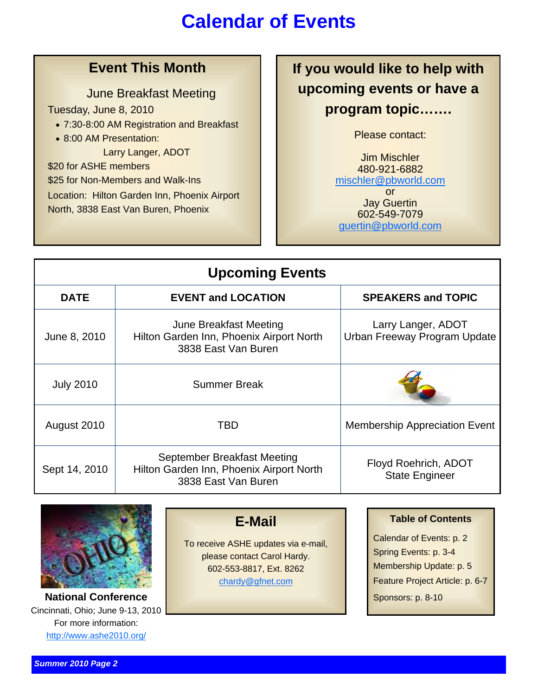## **Calendar of Events**

### **Event This Month**

#### June Breakfast Meeting

Tuesday, June 8, 2010

- 7:30-8:00 AM Registration and Breakfast
- 8:00 AM Presentation:

Larry Langer, ADOT

\$20 for ASHE members \$25 for Non-Members and Walk-Ins Location: Hilton Garden Inn, Phoenix Airport North, 3838 East Van Buren, Phoenix

**If you would like to help with upcoming events or have a program topic…….** 

Please contact:

Jim Mischler 480-921-6882 mischler@pbworld.com or

Jay Guertin 602-549-7079 guertin@pbworld.com

| <b>Upcoming Events</b> |                                                                                                |                                                      |
|------------------------|------------------------------------------------------------------------------------------------|------------------------------------------------------|
| <b>DATE</b>            | <b>EVENT and LOCATION</b>                                                                      | <b>SPEAKERS and TOPIC</b>                            |
| June 8, 2010           | June Breakfast Meeting<br>Hilton Garden Inn, Phoenix Airport North<br>3838 East Van Buren      | Larry Langer, ADOT<br>Urban Freeway Program Update   |
| <b>July 2010</b>       | <b>Summer Break</b>                                                                            |                                                      |
| August 2010            | TBD                                                                                            | <b>Membership Appreciation Event</b>                 |
| Sept 14, 2010          | September Breakfast Meeting<br>Hilton Garden Inn, Phoenix Airport North<br>3838 East Van Buren | <b>Floyd Roehrich, ADOT</b><br><b>State Engineer</b> |



**National Conference** Sponsors: p. 8-10 Cincinnati, Ohio; June 9-13, 2010 For more information: http://www.ashe2010.org/

**E-Mail**

To receive ASHE updates via e-mail, please contact Carol Hardy. 602-553-8817, Ext. 8262 chardy@gfnet.com

Calendar of Events: p. 2 Spring Events: p. 3-4 Membership Update: p. 5 Feature Project Article: p. 6-7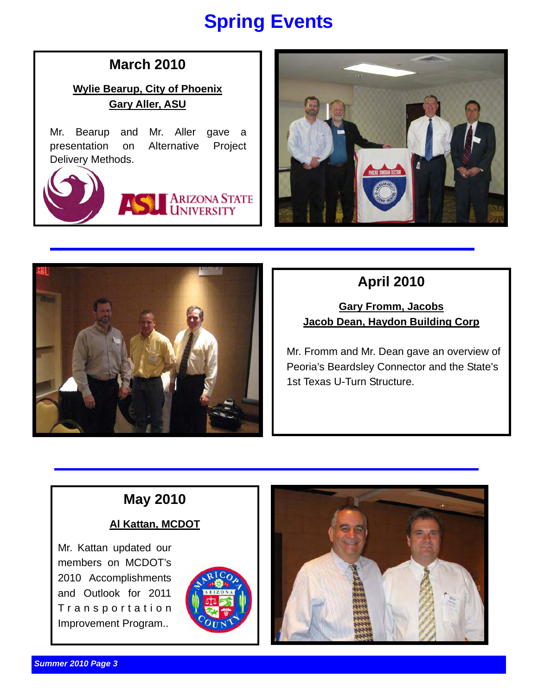# **Spring Events**

### **March 2010**

**Wylie Bearup, City of Phoenix Gary Aller, ASU**

Mr. Bearup and Mr. Aller gave a presentation on Alternative Project Delivery Methods.







**Gary Fromm, Jacobs Jacob Dean, Haydon Building Corp**

Mr. Fromm and Mr. Dean gave an overview of Peoria's Beardsley Connector and the State's 1st Texas U-Turn Structure.

## **May 2010**

#### **Al Kattan, MCDOT**

Mr. Kattan updated our members on MCDOT's 2010 Accomplishments and Outlook for 2011 T r a n s p o r t a t i o n Improvement Program..



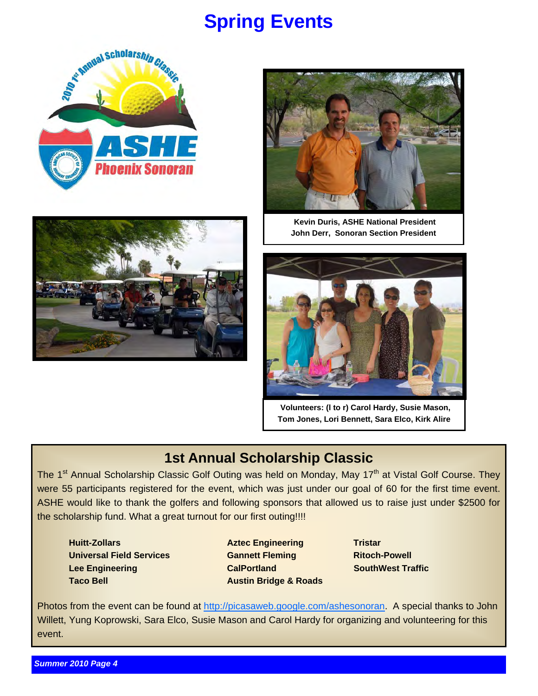## **Spring Events**







**Kevin Duris, ASHE National President John Derr, Sonoran Section President** 



**Volunteers: (l to r) Carol Hardy, Susie Mason, Tom Jones, Lori Bennett, Sara Elco, Kirk Alire** 

### **1st Annual Scholarship Classic**

The 1<sup>st</sup> Annual Scholarship Classic Golf Outing was held on Monday, May 17<sup>th</sup> at Vistal Golf Course. They were 55 participants registered for the event, which was just under our goal of 60 for the first time event. ASHE would like to thank the golfers and following sponsors that allowed us to raise just under \$2500 for the scholarship fund. What a great turnout for our first outing!!!!

 **Huitt-Zollars Aztec Engineering Tristar Aztec Engineering Tristar Universal Field Services Cannett Fleming Connect Ritoch-Powell in the Ritoch-Powell Lee Engineering CalPortland CalPortland SouthWest Traffic Taco Bell Austin Bridge & Roads** 

Photos from the event can be found at http://picasaweb.google.com/ashesonoran. A special thanks to John Willett, Yung Koprowski, Sara Elco, Susie Mason and Carol Hardy for organizing and volunteering for this event.

*Summer 2010 Page 4*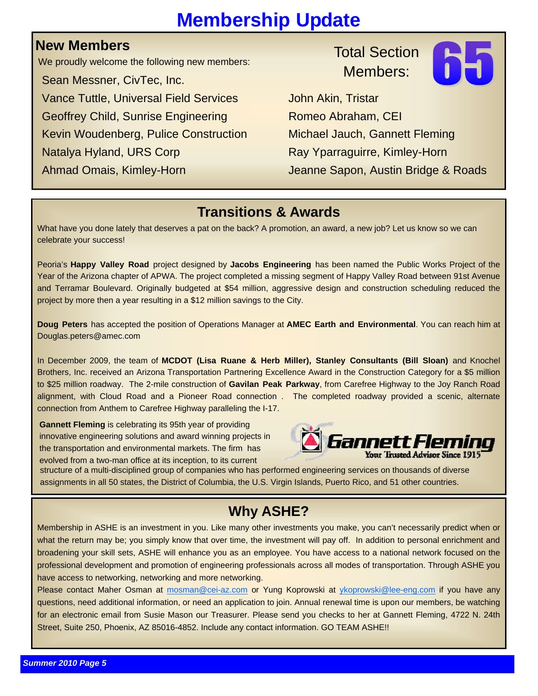# **Membership Update**

### **New Members**

We proudly welcome the following new members:

 Sean Messner, CivTec, Inc. Vance Tuttle, Universal Field Services **John Akin, Tristar** Geoffrey Child, Sunrise Engineering Romeo Abraham, CEI Kevin Woudenberg, Pulice Construction Michael Jauch, Gannett Fleming Natalya Hyland, URS Corp Ray Yparraguirre, Kimley-Horn

## Total Section Members:



Ahmad Omais, Kimley-Horn Jeanne Sapon, Austin Bridge & Roads

### **Transitions & Awards**

What have you done lately that deserves a pat on the back? A promotion, an award, a new job? Let us know so we can celebrate your success!

Peoria's **Happy Valley Road** project designed by **Jacobs Engineering** has been named the Public Works Project of the Year of the Arizona chapter of APWA. The project completed a missing segment of Happy Valley Road between 91st Avenue and Terramar Boulevard. Originally budgeted at \$54 million, aggressive design and construction scheduling reduced the project by more then a year resulting in a \$12 million savings to the City.

**Doug Peters** has accepted the position of Operations Manager at **AMEC Earth and Environmental**. You can reach him at Douglas.peters@amec.com

In December 2009, the team of **MCDOT (Lisa Ruane & Herb Miller), Stanley Consultants (Bill Sloan)** and Knochel Brothers, Inc. received an Arizona Transportation Partnering Excellence Award in the Construction Category for a \$5 million to \$25 million roadway. The 2-mile construction of **Gavilan Peak Parkway**, from Carefree Highway to the Joy Ranch Road alignment, with Cloud Road and a Pioneer Road connection . The completed roadway provided a scenic, alternate connection from Anthem to Carefree Highway paralleling the I-17.

**Gannett Fleming** is celebrating its 95th year of providing innovative engineering solutions and award winning projects in the transportation and environmental markets. The firm has evolved from a two-man office at its inception, to its current



structure of a multi-disciplined group of companies who has performed engineering services on thousands of diverse assignments in all 50 states, the District of Columbia, the U.S. Virgin Islands, Puerto Rico, and 51 other countries.

## **Why ASHE?**

Membership in ASHE is an investment in you. Like many other investments you make, you can't necessarily predict when or what the return may be; you simply know that over time, the investment will pay off. In addition to personal enrichment and broadening your skill sets, ASHE will enhance you as an employee. You have access to a national network focused on the professional development and promotion of engineering professionals across all modes of transportation. Through ASHE you have access to networking, networking and more networking.

Please contact Maher Osman at mosman@cei-az.com or Yung Koprowski at ykoprowski@lee-eng.com if you have any questions, need additional information, or need an application to join. Annual renewal time is upon our members, be watching for an electronic email from Susie Mason our Treasurer. Please send you checks to her at Gannett Fleming, 4722 N. 24th Street, Suite 250, Phoenix, AZ 85016-4852. Include any contact information. GO TEAM ASHE!!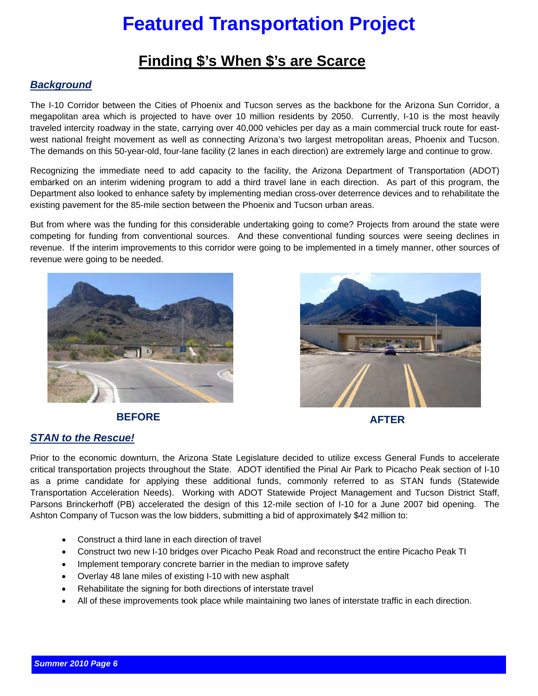# **Featured Transportation Project**

### **Finding \$'s When \$'s are Scarce**

#### *Background*

The I-10 Corridor between the Cities of Phoenix and Tucson serves as the backbone for the Arizona Sun Corridor, a megapolitan area which is projected to have over 10 million residents by 2050. Currently, I-10 is the most heavily traveled intercity roadway in the state, carrying over 40,000 vehicles per day as a main commercial truck route for eastwest national freight movement as well as connecting Arizona's two largest metropolitan areas, Phoenix and Tucson. The demands on this 50-year-old, four-lane facility (2 lanes in each direction) are extremely large and continue to grow.

Recognizing the immediate need to add capacity to the facility, the Arizona Department of Transportation (ADOT) embarked on an interim widening program to add a third travel lane in each direction. As part of this program, the Department also looked to enhance safety by implementing median cross-over deterrence devices and to rehabilitate the existing pavement for the 85-mile section between the Phoenix and Tucson urban areas.

But from where was the funding for this considerable undertaking going to come? Projects from around the state were competing for funding from conventional sources. And these conventional funding sources were seeing declines in revenue. If the interim improvements to this corridor were going to be implemented in a timely manner, other sources of revenue were going to be needed.





### **BEFORE** AFTER

#### *STAN to the Rescue!*

Prior to the economic downturn, the Arizona State Legislature decided to utilize excess General Funds to accelerate critical transportation projects throughout the State. ADOT identified the Pinal Air Park to Picacho Peak section of I-10 as a prime candidate for applying these additional funds, commonly referred to as STAN funds (Statewide Transportation Acceleration Needs). Working with ADOT Statewide Project Management and Tucson District Staff, Parsons Brinckerhoff (PB) accelerated the design of this 12-mile section of I-10 for a June 2007 bid opening. The Ashton Company of Tucson was the low bidders, submitting a bid of approximately \$42 million to:

- Construct a third lane in each direction of travel
- Construct two new I-10 bridges over Picacho Peak Road and reconstruct the entire Picacho Peak TI
- Implement temporary concrete barrier in the median to improve safety
- Overlay 48 lane miles of existing I-10 with new asphalt
- Rehabilitate the signing for both directions of interstate travel
- All of these improvements took place while maintaining two lanes of interstate traffic in each direction.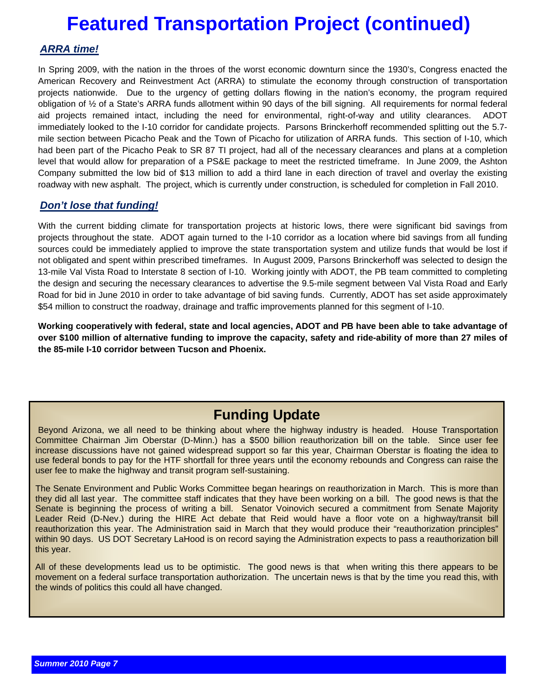## **Featured Transportation Project (continued)**

#### *ARRA time!*

. Company submitted the low bid of \$13 million to add a third lane in each direction of travel and overlay the existing In Spring 2009, with the nation in the throes of the worst economic downturn since the 1930's, Congress enacted the American Recovery and Reinvestment Act (ARRA) to stimulate the economy through construction of transportation projects nationwide. Due to the urgency of getting dollars flowing in the nation's economy, the program required obligation of ½ of a State's ARRA funds allotment within 90 days of the bill signing. All requirements for normal federal aid projects remained intact, including the need for environmental, right-of-way and utility clearances. ADOT immediately looked to the I-10 corridor for candidate projects. Parsons Brinckerhoff recommended splitting out the 5.7 mile section between Picacho Peak and the Town of Picacho for utilization of ARRA funds. This section of I-10, which had been part of the Picacho Peak to SR 87 TI project, had all of the necessary clearances and plans at a completion level that would allow for preparation of a PS&E package to meet the restricted timeframe. In June 2009, the Ashton roadway with new asphalt. The project, which is currently under construction, is scheduled for completion in Fall 2010.

#### *Don't lose that funding!*

With the current bidding climate for transportation projects at historic lows, there were significant bid savings from projects throughout the state. ADOT again turned to the I-10 corridor as a location where bid savings from all funding sources could be immediately applied to improve the state transportation system and utilize funds that would be lost if not obligated and spent within prescribed timeframes. In August 2009, Parsons Brinckerhoff was selected to design the 13-mile Val Vista Road to Interstate 8 section of I-10. Working jointly with ADOT, the PB team committed to completing the design and securing the necessary clearances to advertise the 9.5-mile segment between Val Vista Road and Early Road for bid in June 2010 in order to take advantage of bid saving funds. Currently, ADOT has set aside approximately \$54 million to construct the roadway, drainage and traffic improvements planned for this segment of I-10.

**Working cooperatively with federal, state and local agencies, ADOT and PB have been able to take advantage of over \$100 million of alternative funding to improve the capacity, safety and ride-ability of more than 27 miles of the 85-mile I-10 corridor between Tucson and Phoenix.** 

### **Funding Update**

Beyond Arizona, we all need to be thinking about where the highway industry is headed. House Transportation Committee Chairman Jim Oberstar (D-Minn.) has a \$500 billion reauthorization bill on the table. Since user fee increase discussions have not gained widespread support so far this year, Chairman Oberstar is floating the idea to use federal bonds to pay for the HTF shortfall for three years until the economy rebounds and Congress can raise the user fee to make the highway and transit program self-sustaining.

The Senate Environment and Public Works Committee began hearings on reauthorization in March. This is more than they did all last year. The committee staff indicates that they have been working on a bill. The good news is that the Senate is beginning the process of writing a bill. Senator Voinovich secured a commitment from Senate Majority Leader Reid (D-Nev.) during the HIRE Act debate that Reid would have a floor vote on a highway/transit bill reauthorization this year. The Administration said in March that they would produce their "reauthorization principles" within 90 days. US DOT Secretary LaHood is on record saying the Administration expects to pass a reauthorization bill this year.

All of these developments lead us to be optimistic. The good news is that when writing this there appears to be movement on a federal surface transportation authorization. The uncertain news is that by the time you read this, with the winds of politics this could all have changed.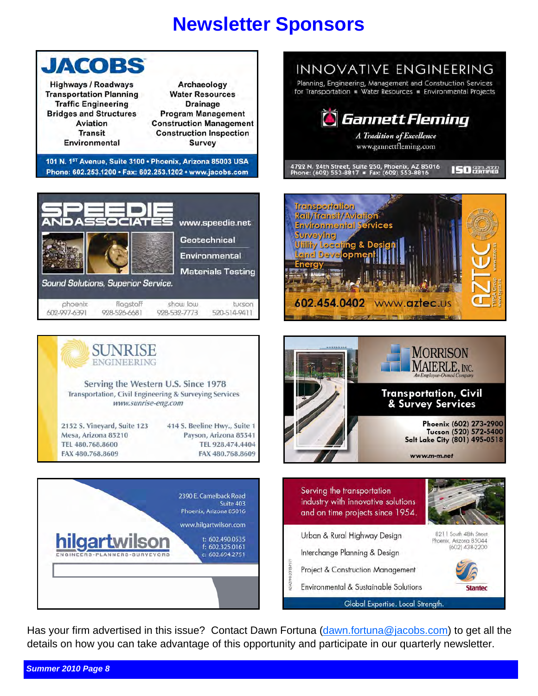## **Newsletter Sponsors**



### INNOVATIVE ENGINEERING Planning, Engineering, Management and Construction Services for Transportation . Water Resources . Environmental Projects **Gannett Fleming A Tradition of Excellence**

www.gannettfleming.com

4722 N. 24th Street, Suite 250, Phoenix, AZ 85016<br>Phone: (602) 553-8817 = Fax: (602) 553-8816









Has your firm advertised in this issue? Contact Dawn Fortuna (dawn.fortuna@jacobs.com) to get all the details on how you can take advantage of this opportunity and participate in our quarterly newsletter.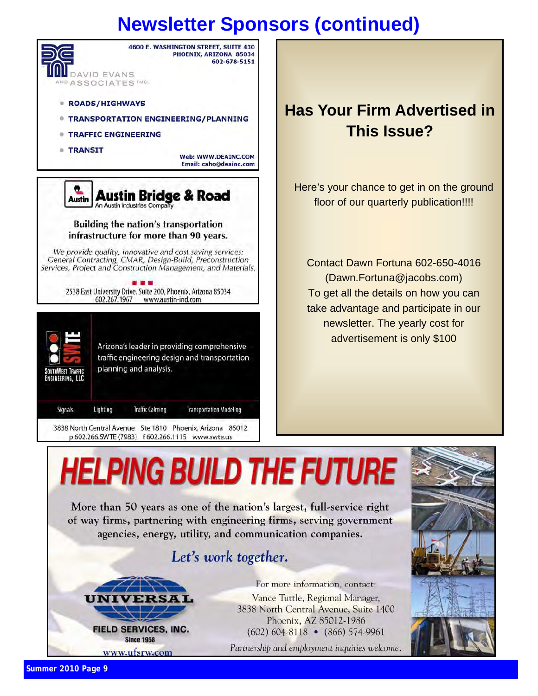# **Newsletter Sponsors (continued)**



## **Has Your Firm Advertised in This Issue?**

Here's your chance to get in on the ground floor of our quarterly publication!!!!

Contact Dawn Fortuna 602-650-4016 (Dawn.Fortuna@jacobs.com) To get all the details on how you can take advantage and participate in our newsletter. The yearly cost for advertisement is only \$100





For more information, contact: Vance Tuttle, Regional Manager, 3838 North Central Avenue, Suite 1400 Phoenix, AZ 85012-1986  $(602) 604 - 8118$  •  $(866) 574 - 9961$ 

Partnership and employment inquiries welcome.

*Summer 2010 Page 9*